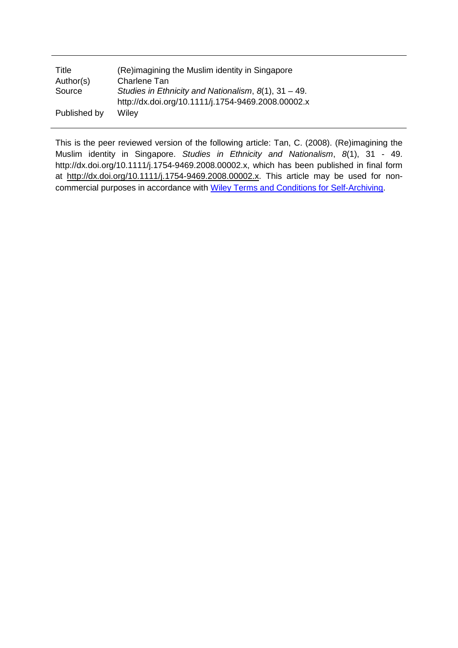| Title        | (Re)imagining the Muslim identity in Singapore          |
|--------------|---------------------------------------------------------|
| Author(s)    | Charlene Tan                                            |
| Source       | Studies in Ethnicity and Nationalism, $8(1)$ , 31 - 49. |
|              | http://dx.doi.org/10.1111/j.1754-9469.2008.00002.x      |
| Published by | Wiley                                                   |

This is the peer reviewed version of the following article: Tan, C. (2008). (Re)imagining the Muslim identity in Singapore. *Studies in Ethnicity and Nationalism*, *8*(1), 31 - 49. http://dx.doi.org/10.1111/j.1754-9469.2008.00002.x, which has been published in final form at [http://dx.doi.org/10.1111/j.1754-9469.2008.00002.x.](http://dx.doi.org/10.1111/j.1754-9469.2008.00002.x) This article may be used for noncommercial purposes in accordance with [Wiley Terms and Conditions for Self-Archiving.](http://olabout.wiley.com/WileyCDA/Section/id-828039.html#terms)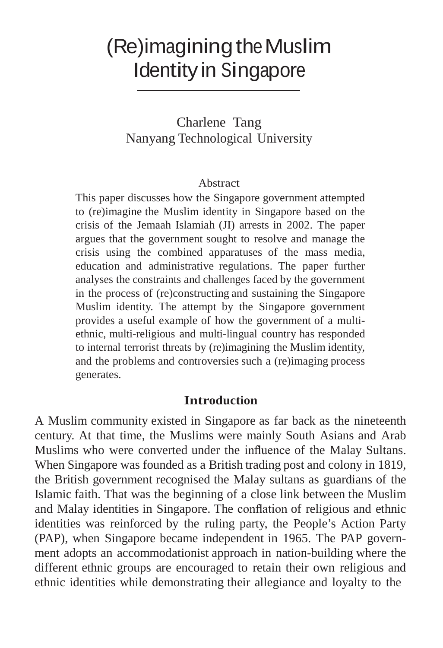# (Re)imaginingtheMuslim Identity in Singapore

Charlene Tang Nanyang Technological University

#### Abstract

This paper discusses how the Singapore government attempted to (re)imagine the Muslim identity in Singapore based on the crisis of the Jemaah Islamiah (JI) arrests in 2002. The paper argues that the government sought to resolve and manage the crisis using the combined apparatuses of the mass media, education and administrative regulations. The paper further analyses the constraints and challenges faced by the government in the process of (re)constructing and sustaining the Singapore Muslim identity. The attempt by the Singapore government provides a useful example of how the government of a multiethnic, multi-religious and multi-lingual country has responded to internal terrorist threats by (re)imagining the Muslim identity, and the problems and controversies such a (re)imaging process generates.

#### **Introduction**

A Muslim community existed in Singapore as far back as the nineteenth century. At that time, the Muslims were mainly South Asians and Arab Muslims who were converted under the influence of the Malay Sultans. When Singapore was founded as a British trading post and colony in 1819, the British government recognised the Malay sultans as guardians of the Islamic faith. That was the beginning of a close link between the Muslim and Malay identities in Singapore. The conflation of religious and ethnic identities was reinforced by the ruling party, the People's Action Party (PAP), when Singapore became independent in 1965. The PAP government adopts an accommodationist approach in nation-building where the different ethnic groups are encouraged to retain their own religious and ethnic identities while demonstrating their allegiance and loyalty to the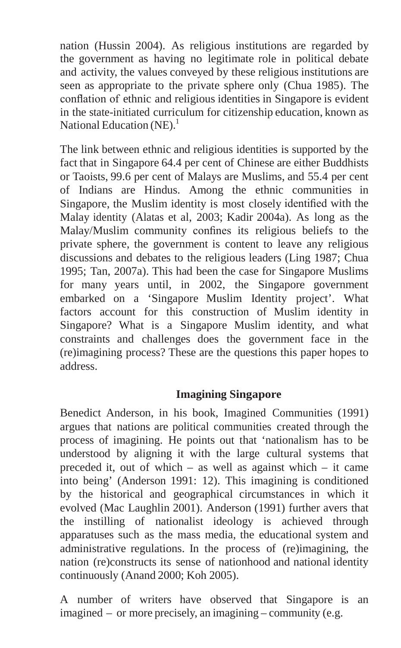nation (Hussin 2004). As religious institutions are regarded by the government as having no legitimate role in political debate and activity, the values conveyed by these religious institutions are seen as appropriate to the private sphere only (Chua 1985). The conflation of ethnic and religious identities in Singapore is evident in the state-initiated curriculum for citizenship education, known as National Education (NE).<sup>1</sup>

The link between ethnic and religious identities is supported by the fact that in Singapore 64.4 per cent of Chinese are either Buddhists or Taoists, 99.6 per cent of Malays are Muslims, and 55.4 per cent of Indians are Hindus. Among the ethnic communities in Singapore, the Muslim identity is most closely identified with the Malay identity (Alatas et al, 2003; Kadir 2004a). As long as the Malay/Muslim community confines its religious beliefs to the private sphere, the government is content to leave any religious discussions and debates to the religious leaders (Ling 1987; Chua 1995; Tan, 2007a). This had been the case for Singapore Muslims for many years until, in 2002, the Singapore government embarked on a 'Singapore Muslim Identity project'. What factors account for this construction of Muslim identity in Singapore? What is a Singapore Muslim identity, and what constraints and challenges does the government face in the (re)imagining process? These are the questions this paper hopes to address.

## **Imagining Singapore**

Benedict Anderson, in his book, Imagined Communities (1991) argues that nations are political communities created through the process of imagining. He points out that 'nationalism has to be understood by aligning it with the large cultural systems that preceded it, out of which – as well as against which – it came into being' (Anderson 1991: 12). This imagining is conditioned by the historical and geographical circumstances in which it evolved (Mac Laughlin 2001). Anderson (1991) further avers that the instilling of nationalist ideology is achieved through apparatuses such as the mass media, the educational system and administrative regulations. In the process of (re)imagining, the nation (re)constructs its sense of nationhood and national identity continuously (Anand 2000; Koh 2005).

A number of writers have observed that Singapore is an imagined – or more precisely, an imagining – community (e.g.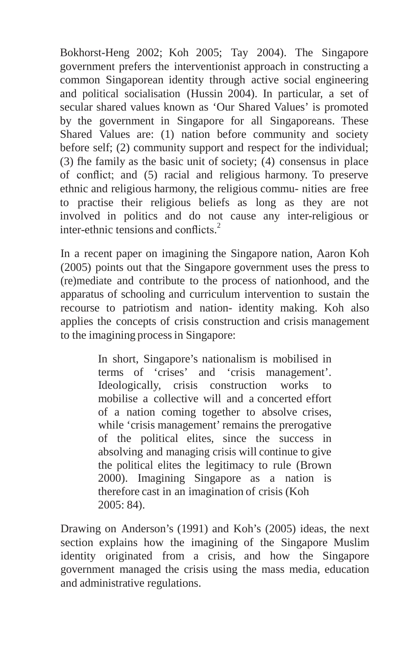Bokhorst-Heng 2002; Koh 2005; Tay 2004). The Singapore government prefers the interventionist approach in constructing a common Singaporean identity through active social engineering and political socialisation (Hussin 2004). In particular, a set of secular shared values known as 'Our Shared Values' is promoted by the government in Singapore for all Singaporeans. These Shared Values are: (1) nation before community and society before self; (2) community support and respect for the individual; (3) fhe family as the basic unit of society; (4) consensus in place of conflict; and (5) racial and religious harmony. To preserve ethnic and religious harmony, the religious commu- nities are free to practise their religious beliefs as long as they are not involved in politics and do not cause any inter-religious or inter-ethnic tensions and conflicts. 2

In a recent paper on imagining the Singapore nation, Aaron Koh (2005) points out that the Singapore government uses the press to (re)mediate and contribute to the process of nationhood, and the apparatus of schooling and curriculum intervention to sustain the recourse to patriotism and nation- identity making. Koh also applies the concepts of crisis construction and crisis management to the imagining process in Singapore:

> In short, Singapore's nationalism is mobilised in terms of 'crises' and 'crisis management'. Ideologically, crisis construction works to mobilise a collective will and a concerted effort of a nation coming together to absolve crises, while 'crisis management' remains the prerogative of the political elites, since the success in absolving and managing crisis will continue to give the political elites the legitimacy to rule (Brown 2000). Imagining Singapore as a nation is therefore cast in an imagination of crisis (Koh 2005: 84).

Drawing on Anderson's (1991) and Koh's (2005) ideas, the next section explains how the imagining of the Singapore Muslim identity originated from a crisis, and how the Singapore government managed the crisis using the mass media, education and administrative regulations.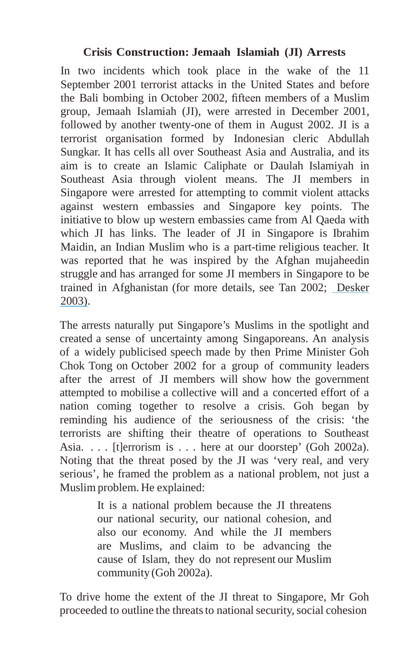## **Crisis Construction: Jemaah Islamiah (JI) Arrests**

In two incidents which took place in the wake of the 11 September 2001 terrorist attacks in the United States and before the Bali bombing in October 2002, fifteen members of a Muslim group, Jemaah Islamiah (JI), were arrested in December 2001, followed by another twenty-one of them in August 2002. JI is a terrorist organisation formed by Indonesian cleric Abdullah Sungkar. It has cells all over Southeast Asia and Australia, and its aim is to create an Islamic Caliphate or Daulah Islamiyah in Southeast Asia through violent means. The JI members in Singapore were arrested for attempting to commit violent attacks against western embassies and Singapore key points. The initiative to blow up western embassies came from Al Qaeda with which JI has links. The leader of JI in Singapore is Ibrahim Maidin, an Indian Muslim who is a part-time religious teacher. It was reported that he was inspired by the Afghan mujaheedin struggle and has arranged for some JI members in Singapore to be trained in Afghanistan (for more details, see Tan 2002; [Desker](https://www.researchgate.net/publication/236771704_The_Jemaah_Islamiyah_JI_Phenomenon_in_Singapore?el=1_x_8&enrichId=rgreq-15e65a5fac08b1d0fd043ff35c410c54-XXX&enrichSource=Y292ZXJQYWdlOzIzMDAzOTg3ODtBUzozMjA5NzQxNDkzNTc1NzNAMTQ1MzUzNzYwODk5Ng%3D%3D) 2003).

The arrests naturally put Singapore's Muslims in the spotlight and created a sense of uncertainty among Singaporeans. An analysis of a widely publicised speech made by then Prime Minister Goh Chok Tong on October 2002 for a group of community leaders after the arrest of JI members will show how the government attempted to mobilise a collective will and a concerted effort of a nation coming together to resolve a crisis. Goh began by reminding his audience of the seriousness of the crisis: 'the terrorists are shifting their theatre of operations to Southeast Asia. . . . [t]errorism is . . . here at our doorstep' (Goh 2002a). Noting that the threat posed by the JI was 'very real, and very serious', he framed the problem as a national problem, not just a Muslim problem. He explained:

> It is a national problem because the JI threatens our national security, our national cohesion, and also our economy. And while the JI members are Muslims, and claim to be advancing the cause of Islam, they do not represent our Muslim community (Goh 2002a).

To drive home the extent of the JI threat to Singapore, Mr Goh proceeded to outline the threats to national security, social cohesion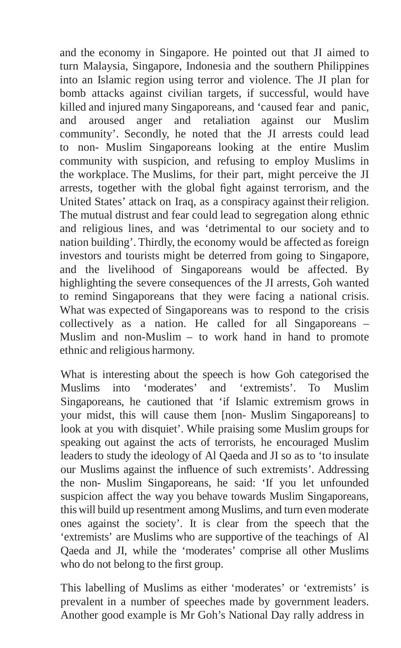and the economy in Singapore. He pointed out that JI aimed to turn Malaysia, Singapore, Indonesia and the southern Philippines into an Islamic region using terror and violence. The JI plan for bomb attacks against civilian targets, if successful, would have killed and injured many Singaporeans, and 'caused fear and panic, and aroused anger and retaliation against our Muslim community'. Secondly, he noted that the JI arrests could lead to non- Muslim Singaporeans looking at the entire Muslim community with suspicion, and refusing to employ Muslims in the workplace. The Muslims, for their part, might perceive the JI arrests, together with the global fight against terrorism, and the United States' attack on Iraq, as a conspiracy against their religion. The mutual distrust and fear could lead to segregation along ethnic and religious lines, and was 'detrimental to our society and to nation building'. Thirdly, the economy would be affected as foreign investors and tourists might be deterred from going to Singapore, and the livelihood of Singaporeans would be affected. By highlighting the severe consequences of the JI arrests, Goh wanted to remind Singaporeans that they were facing a national crisis. What was expected of Singaporeans was to respond to the crisis collectively as a nation. He called for all Singaporeans – Muslim and non-Muslim – to work hand in hand to promote ethnic and religious harmony.

What is interesting about the speech is how Goh categorised the Muslims into 'moderates' and 'extremists'. To Muslim Singaporeans, he cautioned that 'if Islamic extremism grows in your midst, this will cause them [non- Muslim Singaporeans] to look at you with disquiet'. While praising some Muslim groups for speaking out against the acts of terrorists, he encouraged Muslim leaders to study the ideology of Al Qaeda and JI so as to 'to insulate our Muslims against the influence of such extremists'. Addressing the non- Muslim Singaporeans, he said: 'If you let unfounded suspicion affect the way you behave towards Muslim Singaporeans, this will build up resentment among Muslims, and turn even moderate ones against the society'. It is clear from the speech that the 'extremists' are Muslims who are supportive of the teachings of Al Qaeda and JI, while the 'moderates' comprise all other Muslims who do not belong to the first group.

This labelling of Muslims as either 'moderates' or 'extremists' is prevalent in a number of speeches made by government leaders. Another good example is Mr Goh's National Day rally address in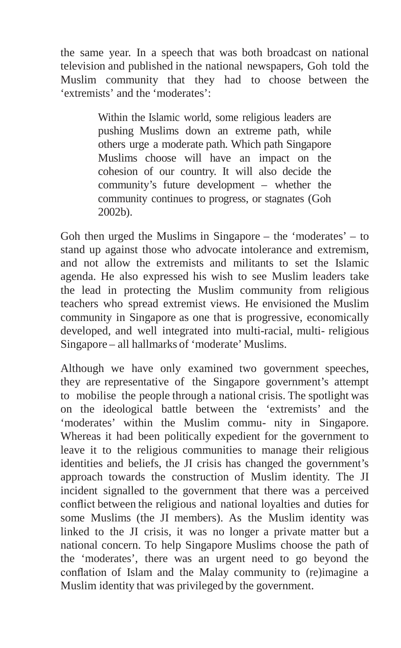the same year. In a speech that was both broadcast on national television and published in the national newspapers, Goh told the Muslim community that they had to choose between the 'extremists' and the 'moderates':

> Within the Islamic world, some religious leaders are pushing Muslims down an extreme path, while others urge a moderate path. Which path Singapore Muslims choose will have an impact on the cohesion of our country. It will also decide the community's future development – whether the community continues to progress, or stagnates (Goh 2002b).

Goh then urged the Muslims in Singapore – the 'moderates' – to stand up against those who advocate intolerance and extremism, and not allow the extremists and militants to set the Islamic agenda. He also expressed his wish to see Muslim leaders take the lead in protecting the Muslim community from religious teachers who spread extremist views. He envisioned the Muslim community in Singapore as one that is progressive, economically developed, and well integrated into multi-racial, multi- religious Singapore – all hallmarks of 'moderate' Muslims.

Although we have only examined two government speeches, they are representative of the Singapore government's attempt to mobilise the people through a national crisis. The spotlight was on the ideological battle between the 'extremists' and the 'moderates' within the Muslim commu- nity in Singapore. Whereas it had been politically expedient for the government to leave it to the religious communities to manage their religious identities and beliefs, the JI crisis has changed the government's approach towards the construction of Muslim identity. The JI incident signalled to the government that there was a perceived conflict between the religious and national loyalties and duties for some Muslims (the JI members). As the Muslim identity was linked to the JI crisis, it was no longer a private matter but a national concern. To help Singapore Muslims choose the path of the 'moderates', there was an urgent need to go beyond the conflation of Islam and the Malay community to (re)imagine a Muslim identity that was privileged by the government.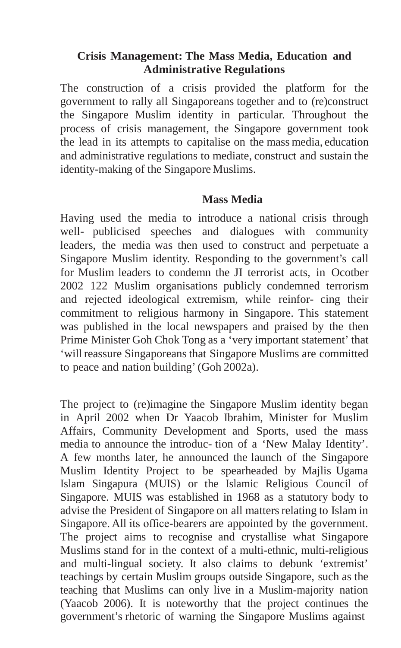## **Crisis Management: The Mass Media, Education and Administrative Regulations**

The construction of a crisis provided the platform for the government to rally all Singaporeans together and to (re)construct the Singapore Muslim identity in particular. Throughout the process of crisis management, the Singapore government took the lead in its attempts to capitalise on the mass media, education and administrative regulations to mediate, construct and sustain the identity-making of the Singapore Muslims.

## **Mass Media**

Having used the media to introduce a national crisis through well- publicised speeches and dialogues with community leaders, the media was then used to construct and perpetuate a Singapore Muslim identity. Responding to the government's call for Muslim leaders to condemn the JI terrorist acts, in Ocotber 2002 122 Muslim organisations publicly condemned terrorism and rejected ideological extremism, while reinfor- cing their commitment to religious harmony in Singapore. This statement was published in the local newspapers and praised by the then Prime Minister Goh Chok Tong as a 'very important statement' that 'will reassure Singaporeans that Singapore Muslims are committed to peace and nation building' (Goh 2002a).

The project to (re)imagine the Singapore Muslim identity began in April 2002 when Dr Yaacob Ibrahim, Minister for Muslim Affairs, Community Development and Sports, used the mass media to announce the introduc- tion of a 'New Malay Identity'. A few months later, he announced the launch of the Singapore Muslim Identity Project to be spearheaded by Majlis Ugama Islam Singapura (MUIS) or the Islamic Religious Council of Singapore. MUIS was established in 1968 as a statutory body to advise the President of Singapore on all matters relating to Islam in Singapore. All its office-bearers are appointed by the government. The project aims to recognise and crystallise what Singapore Muslims stand for in the context of a multi-ethnic, multi-religious and multi-lingual society. It also claims to debunk 'extremist' teachings by certain Muslim groups outside Singapore, such as the teaching that Muslims can only live in a Muslim-majority nation (Yaacob 2006). It is noteworthy that the project continues the government's rhetoric of warning the Singapore Muslims against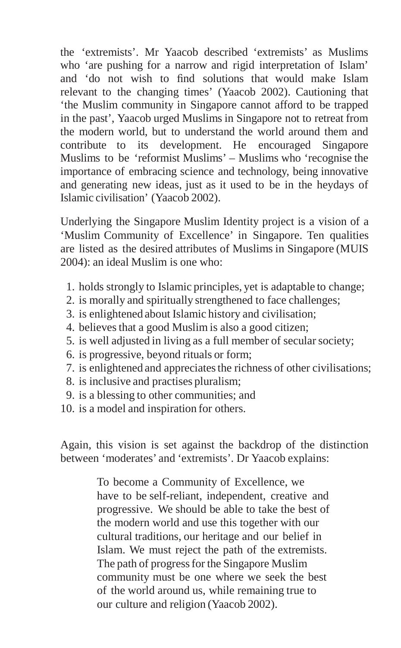the 'extremists'. Mr Yaacob described 'extremists' as Muslims who 'are pushing for a narrow and rigid interpretation of Islam' and 'do not wish to find solutions that would make Islam relevant to the changing times' (Yaacob 2002). Cautioning that 'the Muslim community in Singapore cannot afford to be trapped in the past', Yaacob urged Muslims in Singapore not to retreat from the modern world, but to understand the world around them and contribute to its development. He encouraged Singapore Muslims to be 'reformist Muslims' – Muslims who 'recognise the importance of embracing science and technology, being innovative and generating new ideas, just as it used to be in the heydays of Islamic civilisation' (Yaacob 2002).

Underlying the Singapore Muslim Identity project is a vision of a 'Muslim Community of Excellence' in Singapore. Ten qualities are listed as the desired attributes of Muslims in Singapore (MUIS 2004): an ideal Muslim is one who:

- 1. holds strongly to Islamic principles, yet is adaptable to change;
- 2. is morally and spiritually strengthened to face challenges;
- 3. is enlightened about Islamic history and civilisation;
- 4. believesthat a good Muslim is also a good citizen;
- 5. is well adjusted in living as a full member of secular society;
- 6. is progressive, beyond rituals or form;
- 7. is enlightened and appreciates the richness of other civilisations;
- 8. is inclusive and practises pluralism;
- 9. is a blessing to other communities; and
- 10. is a model and inspiration for others.

Again, this vision is set against the backdrop of the distinction between 'moderates' and 'extremists'. Dr Yaacob explains:

> To become a Community of Excellence, we have to be self-reliant, independent, creative and progressive. We should be able to take the best of the modern world and use this together with our cultural traditions, our heritage and our belief in Islam. We must reject the path of the extremists. The path of progressfor the Singapore Muslim community must be one where we seek the best of the world around us, while remaining true to our culture and religion (Yaacob 2002).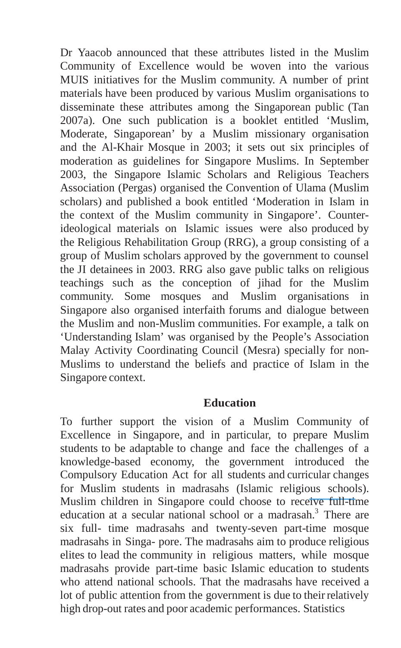Dr Yaacob announced that these attributes listed in the Muslim Community of Excellence would be woven into the various MUIS initiatives for the Muslim community. A number of print materials have been produced by various Muslim organisations to disseminate these attributes among the Singaporean public (Tan 2007a). One such publication is a booklet entitled 'Muslim, Moderate, Singaporean' by a Muslim missionary organisation and the Al-Khair Mosque in 2003; it sets out six principles of moderation as guidelines for Singapore Muslims. In September 2003, the Singapore Islamic Scholars and Religious Teachers Association (Pergas) organised the Convention of Ulama (Muslim scholars) and published a book entitled 'Moderation in Islam in the context of the Muslim community in Singapore'. Counterideological materials on Islamic issues were also produced by the Religious Rehabilitation Group (RRG), a group consisting of a group of Muslim scholars approved by the government to counsel the JI detainees in 2003. RRG also gave public talks on religious teachings such as the conception of jihad for the Muslim community. Some mosques and Muslim organisations in Singapore also organised interfaith forums and dialogue between the Muslim and non-Muslim communities. For example, a talk on 'Understanding Islam' was organised by the People's Association Malay Activity Coordinating Council (Mesra) specially for non-Muslims to understand the beliefs and practice of Islam in the Singapore context.

#### **Education**

To further support the vision of a Muslim Community of Excellence in Singapore, and in particular, to prepare Muslim students to be adaptable to change and face the challenges of a knowledge-based economy, the government introduced the Compulsory Education Act for all students and curricular changes for Muslim students in madrasahs (Islamic religious schools). Muslim children in Singapore could choose to receive full-time education at a secular national school or a madrasah. <sup>3</sup> There are six full- time madrasahs and twenty-seven part-time mosque madrasahs in Singa- pore. The madrasahs aim to produce religious elites to lead the community in religious matters, while mosque madrasahs provide part-time basic Islamic education to students who attend national schools. That the madrasahs have received a lot of public attention from the government is due to theirrelatively high drop-out rates and poor academic performances. Statistics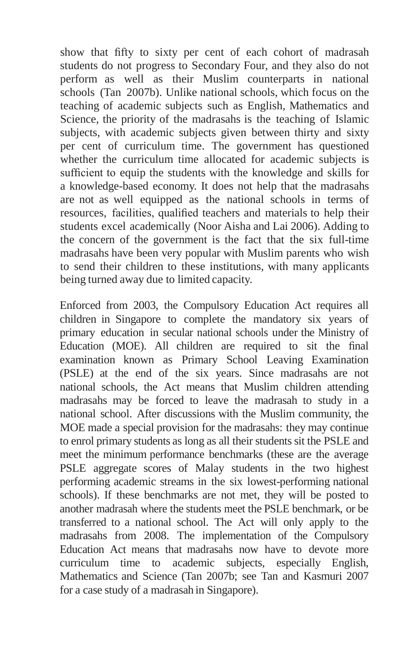show that fifty to sixty per cent of each cohort of madrasah students do not progress to Secondary Four, and they also do not perform as well as their Muslim counterparts in national schools ([Tan](https://www.researchgate.net/publication/233337311_Narrowing_the_gap_the_educational_achievements_of_the_Malay_community_in_Singapore?el=1_x_8&enrichId=rgreq-15e65a5fac08b1d0fd043ff35c410c54-XXX&enrichSource=Y292ZXJQYWdlOzIzMDAzOTg3ODtBUzozMjA5NzQxNDkzNTc1NzNAMTQ1MzUzNzYwODk5Ng%3D%3D) 2007b). Unlike national schools, which focus on the teaching of academic subjects such as English, Mathematics and Science, the priority of the madrasahs is the teaching of Islamic subjects, with academic subjects given between thirty and sixty per cent of curriculum time. The government has questioned whether the curriculum time allocated for academic subjects is sufficient to equip the students with the knowledge and skills for a knowledge-based economy. It does not help that the madrasahs are not as well equipped as the national schools in terms of resources, facilities, qualified teachers and materials to help their students excel academically (Noor Aisha and Lai 2006). Adding to the concern of the government is the fact that the six full-time madrasahs have been very popular with Muslim parents who wish to send their children to these institutions, with many applicants being turned away due to limited capacity.

Enforced from 2003, the Compulsory Education Act requires all children in Singapore to complete the mandatory six years of primary education in secular national schools under the Ministry of Education (MOE). All children are required to sit the final examination known as Primary School Leaving Examination (PSLE) at the end of the six years. Since madrasahs are not national schools, the Act means that Muslim children attending madrasahs may be forced to leave the madrasah to study in a national school. After discussions with the Muslim community, the MOE made a special provision for the madrasahs: they may continue to enrol primary students as long as all their students sit the PSLE and meet the minimum performance benchmarks (these are the average PSLE aggregate scores of Malay students in the two highest performing academic streams in the six lowest-performing national schools). If these benchmarks are not met, they will be posted to another madrasah where the students meet the PSLE benchmark, or be transferred to a national school. The Act will only apply to the madrasahs from 2008. The implementation of the Compulsory Education Act means that madrasahs now have to devote more curriculum time to academic subjects, especially English, Mathematics and Science (Tan 2007b; see Tan and Kasmuri 2007 for a case study of a madrasah in Singapore).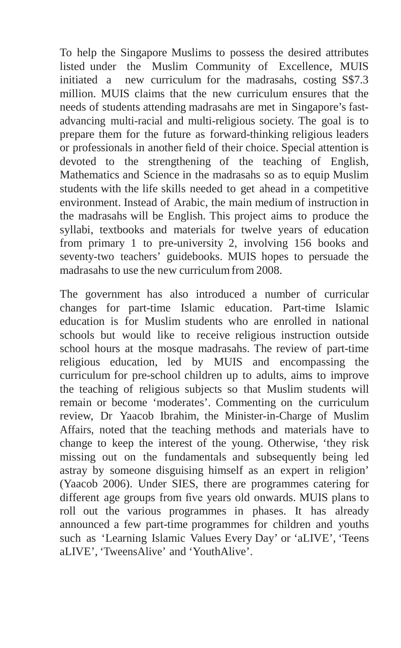To help the Singapore Muslims to possess the desired attributes listed under the Muslim Community of Excellence, MUIS initiated a new curriculum for the madrasahs, costing S\$7.3 million. MUIS claims that the new curriculum ensures that the needs of students attending madrasahs are met in Singapore's fastadvancing multi-racial and multi-religious society. The goal is to prepare them for the future as forward-thinking religious leaders or professionals in another field of their choice. Special attention is devoted to the strengthening of the teaching of English, Mathematics and Science in the madrasahs so as to equip Muslim students with the life skills needed to get ahead in a competitive environment. Instead of Arabic, the main medium of instruction in the madrasahs will be English. This project aims to produce the syllabi, textbooks and materials for twelve years of education from primary 1 to pre-university 2, involving 156 books and seventy-two teachers' guidebooks. MUIS hopes to persuade the madrasahs to use the new curriculum from 2008.

The government has also introduced a number of curricular changes for part-time Islamic education. Part-time Islamic education is for Muslim students who are enrolled in national schools but would like to receive religious instruction outside school hours at the mosque madrasahs. The review of part-time religious education, led by MUIS and encompassing the curriculum for pre-school children up to adults, aims to improve the teaching of religious subjects so that Muslim students will remain or become 'moderates'. Commenting on the curriculum review, Dr Yaacob Ibrahim, the Minister-in-Charge of Muslim Affairs, noted that the teaching methods and materials have to change to keep the interest of the young. Otherwise, 'they risk missing out on the fundamentals and subsequently being led astray by someone disguising himself as an expert in religion' (Yaacob 2006). Under SIES, there are programmes catering for different age groups from five years old onwards. MUIS plans to roll out the various programmes in phases. It has already announced a few part-time programmes for children and youths such as 'Learning Islamic Values Every Day' or 'aLIVE', 'Teens aLIVE', 'TweensAlive' and 'YouthAlive'.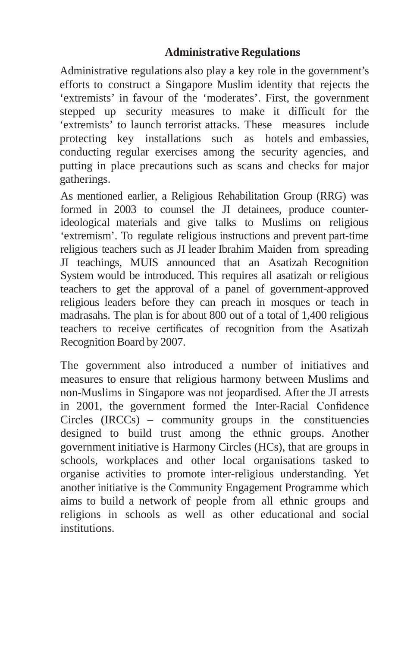## **Administrative Regulations**

Administrative regulations also play a key role in the government's efforts to construct a Singapore Muslim identity that rejects the 'extremists' in favour of the 'moderates'. First, the government stepped up security measures to make it difficult for the 'extremists' to launch terrorist attacks. These measures include protecting key installations such as hotels and embassies, conducting regular exercises among the security agencies, and putting in place precautions such as scans and checks for major gatherings.

As mentioned earlier, a Religious Rehabilitation Group (RRG) was formed in 2003 to counsel the JI detainees, produce counterideological materials and give talks to Muslims on religious 'extremism'. To regulate religious instructions and prevent part-time religious teachers such as JI leader Ibrahim Maiden from spreading JI teachings, MUIS announced that an Asatizah Recognition System would be introduced. This requires all asatizah or religious teachers to get the approval of a panel of government-approved religious leaders before they can preach in mosques or teach in madrasahs. The plan is for about 800 out of a total of 1,400 religious teachers to receive certificates of recognition from the Asatizah Recognition Board by 2007.

The government also introduced a number of initiatives and measures to ensure that religious harmony between Muslims and non-Muslims in Singapore was not jeopardised. After the JI arrests in 2001, the government formed the Inter-Racial Confidence Circles (IRCCs) – community groups in the constituencies designed to build trust among the ethnic groups. Another government initiative is Harmony Circles (HCs), that are groups in schools, workplaces and other local organisations tasked to organise activities to promote inter-religious understanding. Yet another initiative is the Community Engagement Programme which aims to build a network of people from all ethnic groups and religions in schools as well as other educational and social institutions.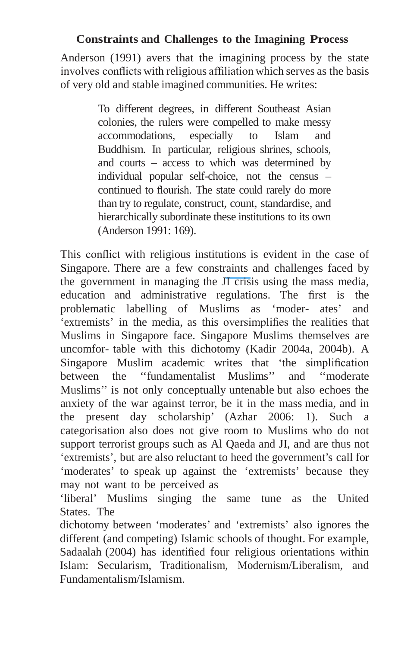## **Constraints and Challenges to the Imagining Process**

Anderson (1991) avers that the imagining process by the state involves conflicts with religious affiliation which serves as the basis of very old and stable imagined communities. He writes:

> To different degrees, in different Southeast Asian colonies, the rulers were compelled to make messy accommodations, especially to Islam and Buddhism. In particular, religious shrines, schools, and courts – access to which was determined by individual popular self-choice, not the census – continued to flourish. The state could rarely do more than try to regulate, construct, count, standardise, and hierarchically subordinate these institutions to its own (Anderson 1991: 169).

This conflict with religious institutions is evident in the case of Singapore. There are a few constraints and challenges faced by the government in managing the JI crisis using the mass media, education and administrative regulations. The first is the problematic labelling of Muslims as 'moder- ates' and 'extremists' in the media, as this oversimplifies the realities that Muslims in Singapore face. Singapore Muslims themselves are uncomfor- table with this dichotomy (Kadir 2004a, [2004b\).](https://www.researchgate.net/publication/237639419_Mapping_Muslim_Politics_in_Southeast_Asia_after_September_11?el=1_x_8&enrichId=rgreq-15e65a5fac08b1d0fd043ff35c410c54-XXX&enrichSource=Y292ZXJQYWdlOzIzMDAzOTg3ODtBUzozMjA5NzQxNDkzNTc1NzNAMTQ1MzUzNzYwODk5Ng%3D%3D) A Singapore Muslim academic writes that 'the simplification between the ''fundamentalist Muslims'' and ''moderate Muslims'' is not only conceptually untenable but also echoes the anxiety of the war against terror, be it in the mass media, and in the present day scholarship' (Azhar 2006: 1). Such a categorisation also does not give room to Muslims who do not support terrorist groups such as Al Qaeda and JI, and are thus not 'extremists', but are also reluctant to heed the government's call for 'moderates' to speak up against the 'extremists' because they may not want to be perceived as

'liberal' Muslims singing the same tune as the United States. The

dichotomy between 'moderates' and 'extremists' also ignores the different (and competing) Islamic schools of thought. For example, Sadaalah (2004) has identified four religious orientations within Islam: Secularism, Traditionalism, Modernism/Liberalism, and Fundamentalism/Islamism.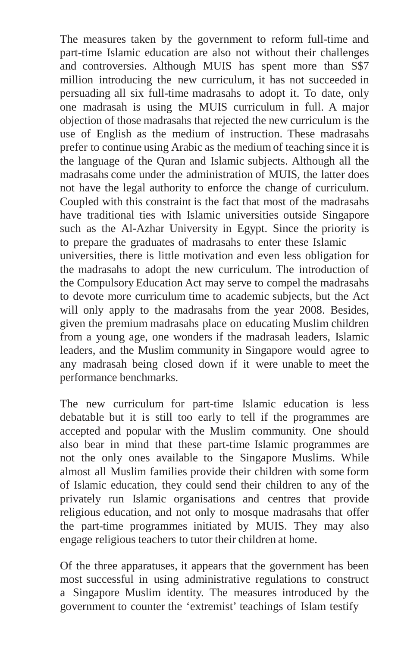The measures taken by the government to reform full-time and part-time Islamic education are also not without their challenges and controversies. Although MUIS has spent more than S\$7 million introducing the new curriculum, it has not succeeded in persuading all six full-time madrasahs to adopt it. To date, only one madrasah is using the MUIS curriculum in full. A major objection of those madrasahs that rejected the new curriculum is the use of English as the medium of instruction. These madrasahs prefer to continue using Arabic as the medium of teaching since it is the language of the Quran and Islamic subjects. Although all the madrasahs come under the administration of MUIS, the latter does not have the legal authority to enforce the change of curriculum. Coupled with this constraint is the fact that most of the madrasahs have traditional ties with Islamic universities outside Singapore such as the Al-Azhar University in Egypt. Since the priority is to prepare the graduates of madrasahs to enter these Islamic universities, there is little motivation and even less obligation for the madrasahs to adopt the new curriculum. The introduction of the Compulsory Education Act may serve to compel the madrasahs to devote more curriculum time to academic subjects, but the Act will only apply to the madrasahs from the year 2008. Besides, given the premium madrasahs place on educating Muslim children from a young age, one wonders if the madrasah leaders, Islamic leaders, and the Muslim community in Singapore would agree to any madrasah being closed down if it were unable to meet the performance benchmarks.

The new curriculum for part-time Islamic education is less debatable but it is still too early to tell if the programmes are accepted and popular with the Muslim community. One should also bear in mind that these part-time Islamic programmes are not the only ones available to the Singapore Muslims. While almost all Muslim families provide their children with some form of Islamic education, they could send their children to any of the privately run Islamic organisations and centres that provide religious education, and not only to mosque madrasahs that offer the part-time programmes initiated by MUIS. They may also engage religious teachers to tutor their children at home.

Of the three apparatuses, it appears that the government has been most successful in using administrative regulations to construct a Singapore Muslim identity. The measures introduced by the government to counter the 'extremist' teachings of Islam testify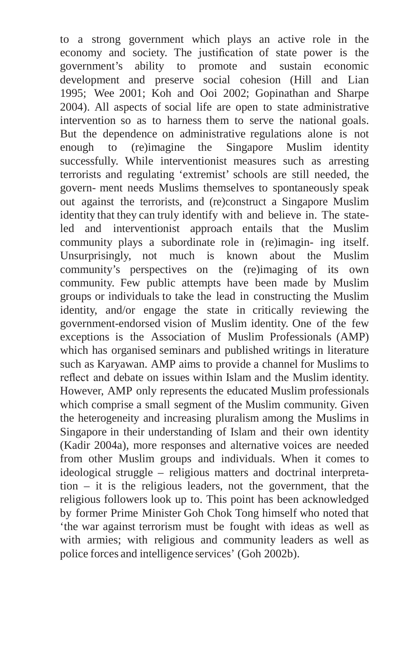to a strong government which plays an active role in the economy and society. The justification of state power is the government's ability to promote and sustain economic development and preserve social cohesion [\(Hill](https://www.researchgate.net/publication/248653550_The_Politics_of_Nation_Building_and_Citizenship_in_Singapore?el=1_x_8&enrichId=rgreq-15e65a5fac08b1d0fd043ff35c410c54-XXX&enrichSource=Y292ZXJQYWdlOzIzMDAzOTg3ODtBUzozMjA5NzQxNDkzNTc1NzNAMTQ1MzUzNzYwODk5Ng%3D%3D) and Lian [1995;](https://www.researchgate.net/publication/248653550_The_Politics_of_Nation_Building_and_Citizenship_in_Singapore?el=1_x_8&enrichId=rgreq-15e65a5fac08b1d0fd043ff35c410c54-XXX&enrichSource=Y292ZXJQYWdlOzIzMDAzOTg3ODtBUzozMjA5NzQxNDkzNTc1NzNAMTQ1MzUzNzYwODk5Ng%3D%3D) [Wee](https://www.researchgate.net/publication/248965471_Mediating_%27Progress%27_the_National_Narrative_of_Economic_Development_and_Liberalism_in_Singapore?el=1_x_8&enrichId=rgreq-15e65a5fac08b1d0fd043ff35c410c54-XXX&enrichSource=Y292ZXJQYWdlOzIzMDAzOTg3ODtBUzozMjA5NzQxNDkzNTc1NzNAMTQ1MzUzNzYwODk5Ng%3D%3D) [2001;](https://www.researchgate.net/publication/248965471_Mediating_%27Progress%27_the_National_Narrative_of_Economic_Development_and_Liberalism_in_Singapore?el=1_x_8&enrichId=rgreq-15e65a5fac08b1d0fd043ff35c410c54-XXX&enrichSource=Y292ZXJQYWdlOzIzMDAzOTg3ODtBUzozMjA5NzQxNDkzNTc1NzNAMTQ1MzUzNzYwODk5Ng%3D%3D) Koh and Ooi 2002; [Gopinathan](https://www.researchgate.net/publication/291183766_New_Bearings_for_Citizenship_Education_in_Singapore?el=1_x_8&enrichId=rgreq-15e65a5fac08b1d0fd043ff35c410c54-XXX&enrichSource=Y292ZXJQYWdlOzIzMDAzOTg3ODtBUzozMjA5NzQxNDkzNTc1NzNAMTQ1MzUzNzYwODk5Ng%3D%3D) and Sharpe 2004). All aspects of social life are open to state administrative intervention so as to harness them to serve the national goals. But the dependence on administrative regulations alone is not enough to (re)imagine the Singapore Muslim identity successfully. While interventionist measures such as arresting terrorists and regulating 'extremist' schools are still needed, the govern- ment needs Muslims themselves to spontaneously speak out against the terrorists, and (re)construct a Singapore Muslim identity that they can truly identify with and believe in. The stateled and interventionist approach entails that the Muslim community plays a subordinate role in (re)imagin- ing itself.<br>Unsurprisingly, not much is known about the Muslim Unsurprisingly, not much is known about the Muslim community's perspectives on the (re)imaging of its own community. Few public attempts have been made by Muslim groups or individuals to take the lead in constructing the Muslim identity, and/or engage the state in critically reviewing the government-endorsed vision of Muslim identity. One of the few exceptions is the Association of Muslim Professionals (AMP) which has organised seminars and published writings in literature such as Karyawan. AMP aims to provide a channel for Muslims to reflect and debate on issues within Islam and the Muslim identity. However, AMP only represents the educated Muslim professionals which comprise a small segment of the Muslim community. Given the heterogeneity and increasing pluralism among the Muslims in Singapore in their understanding of Islam and their own identity (Kadir 2004a), more responses and alternative voices are needed from other Muslim groups and individuals. When it comes to ideological struggle – religious matters and doctrinal interpretation – it is the religious leaders, not the government, that the religious followers look up to. This point has been acknowledged by former Prime Minister Goh Chok Tong himself who noted that 'the war against terrorism must be fought with ideas as well as with armies; with religious and community leaders as well as police forces and intelligence services' (Goh 2002b).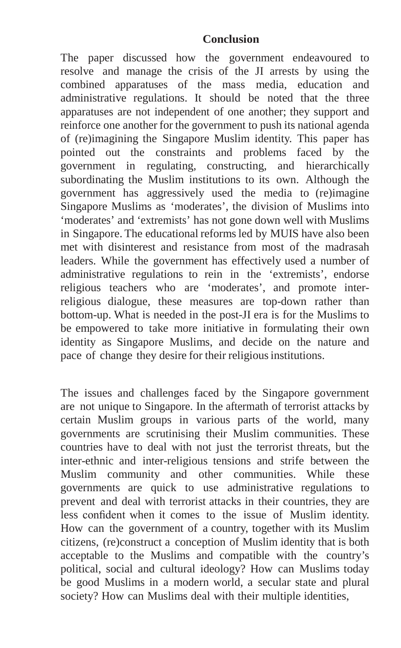## **Conclusion**

The paper discussed how the government endeavoured to resolve and manage the crisis of the JI arrests by using the combined apparatuses of the mass media, education and administrative regulations. It should be noted that the three apparatuses are not independent of one another; they support and reinforce one another for the government to push its national agenda of (re)imagining the Singapore Muslim identity. This paper has pointed out the constraints and problems faced by the government in regulating, constructing, and hierarchically subordinating the Muslim institutions to its own. Although the government has aggressively used the media to (re)imagine Singapore Muslims as 'moderates', the division of Muslims into 'moderates' and 'extremists' has not gone down well with Muslims in Singapore. The educational reforms led by MUIS have also been met with disinterest and resistance from most of the madrasah leaders. While the government has effectively used a number of administrative regulations to rein in the 'extremists', endorse religious teachers who are 'moderates', and promote interreligious dialogue, these measures are top-down rather than bottom-up. What is needed in the post-JI era is for the Muslims to be empowered to take more initiative in formulating their own identity as Singapore Muslims, and decide on the nature and pace of change they desire for their religious institutions.

The issues and challenges faced by the Singapore government are not unique to Singapore. In the aftermath of terrorist attacks by certain Muslim groups in various parts of the world, many governments are scrutinising their Muslim communities. These countries have to deal with not just the terrorist threats, but the inter-ethnic and inter-religious tensions and strife between the Muslim community and other communities. While these governments are quick to use administrative regulations to prevent and deal with terrorist attacks in their countries, they are less confident when it comes to the issue of Muslim identity. How can the government of a country, together with its Muslim citizens, (re)construct a conception of Muslim identity that is both acceptable to the Muslims and compatible with the country's political, social and cultural ideology? How can Muslims today be good Muslims in a modern world, a secular state and plural society? How can Muslims deal with their multiple identities,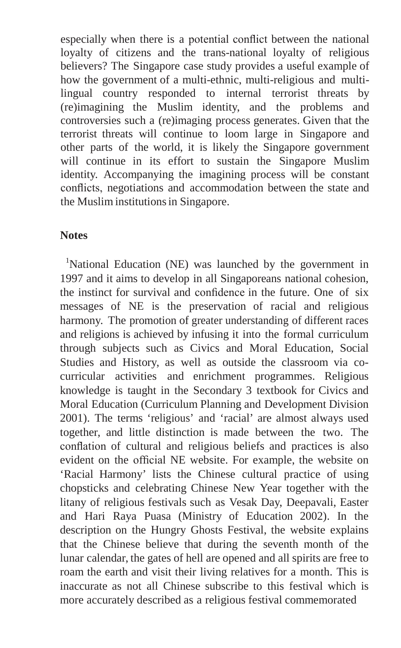especially when there is a potential conflict between the national loyalty of citizens and the trans-national loyalty of religious believers? The Singapore case study provides a useful example of how the government of a multi-ethnic, multi-religious and multilingual country responded to internal terrorist threats by (re)imagining the Muslim identity, and the problems and controversies such a (re)imaging process generates. Given that the terrorist threats will continue to loom large in Singapore and other parts of the world, it is likely the Singapore government will continue in its effort to sustain the Singapore Muslim identity. Accompanying the imagining process will be constant conflicts, negotiations and accommodation between the state and the Muslim institutions in Singapore.

## **Notes**

<sup>1</sup>National Education (NE) was launched by the government in 1997 and it aims to develop in all Singaporeans national cohesion, the instinct for survival and confidence in the future. One of six messages of NE is the preservation of racial and religious harmony. The promotion of greater understanding of different races and religions is achieved by infusing it into the formal curriculum through subjects such as Civics and Moral Education, Social Studies and History, as well as outside the classroom via cocurricular activities and enrichment programmes. Religious knowledge is taught in the Secondary 3 textbook for Civics and Moral Education (Curriculum Planning and Development Division 2001). The terms 'religious' and 'racial' are almost always used together, and little distinction is made between the two. The conflation of cultural and religious beliefs and practices is also evident on the official NE website. For example, the website on 'Racial Harmony' lists the Chinese cultural practice of using chopsticks and celebrating Chinese New Year together with the litany of religious festivals such as Vesak Day, Deepavali, Easter and Hari Raya Puasa (Ministry of Education 2002). In the description on the Hungry Ghosts Festival, the website explains that the Chinese believe that during the seventh month of the lunar calendar, the gates of hell are opened and all spirits are free to roam the earth and visit their living relatives for a month. This is inaccurate as not all Chinese subscribe to this festival which is more accurately described as a religious festival commemorated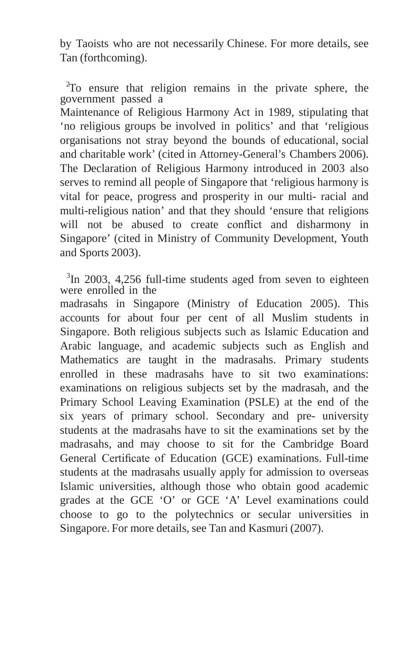by Taoists who are not necessarily Chinese. For more details, see Tan (forthcoming).

<sup>2</sup>To ensure that religion remains in the private sphere, the government passed a

Maintenance of Religious Harmony Act in 1989, stipulating that 'no religious groups be involved in politics' and that 'religious organisations not stray beyond the bounds of educational, social and charitable work' (cited in Attorney-General's Chambers 2006). The Declaration of Religious Harmony introduced in 2003 also serves to remind all people of Singapore that 'religious harmony is vital for peace, progress and prosperity in our multi- racial and multi-religious nation' and that they should 'ensure that religions will not be abused to create conflict and disharmony in Singapore' (cited in Ministry of Community Development, Youth and Sports 2003).

<sup>3</sup>In 2003, 4,256 full-time students aged from seven to eighteen were enrolled in the

madrasahs in Singapore (Ministry of Education 2005). This accounts for about four per cent of all Muslim students in Singapore. Both religious subjects such as Islamic Education and Arabic language, and academic subjects such as English and Mathematics are taught in the madrasahs. Primary students enrolled in these madrasahs have to sit two examinations: examinations on religious subjects set by the madrasah, and the Primary School Leaving Examination (PSLE) at the end of the six years of primary school. Secondary and pre- university students at the madrasahs have to sit the examinations set by the madrasahs, and may choose to sit for the Cambridge Board General Certificate of Education (GCE) examinations. Full-time students at the madrasahs usually apply for admission to overseas Islamic universities, although those who obtain good academic grades at the GCE 'O' or GCE 'A' Level examinations could choose to go to the polytechnics or secular universities in Singapore. For more details, see Tan and Kasmuri (2007).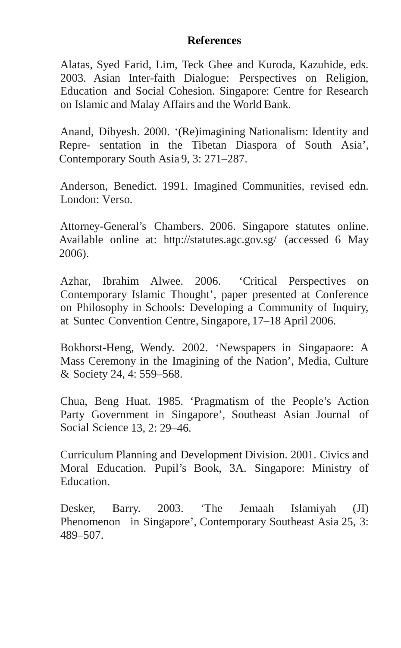### **References**

Alatas, Syed Farid, Lim, Teck Ghee and Kuroda, Kazuhide, eds. 2003. Asian Inter-faith Dialogue: Perspectives on Religion, Education and Social Cohesion. Singapore: Centre for Research on Islamic and Malay Affairs and the World Bank.

Anand, Dibyesh. 2000. ['\(Re\)imagining](https://www.researchgate.net/publication/248982759_Reimagining_nationalism_Identity_and_representation_in_the_Tibetan_diaspora_of_South_Asia1?el=1_x_8&enrichId=rgreq-15e65a5fac08b1d0fd043ff35c410c54-XXX&enrichSource=Y292ZXJQYWdlOzIzMDAzOTg3ODtBUzozMjA5NzQxNDkzNTc1NzNAMTQ1MzUzNzYwODk5Ng%3D%3D) Nationalism: Identity and [Repre-](https://www.researchgate.net/publication/248982759_Reimagining_nationalism_Identity_and_representation_in_the_Tibetan_diaspora_of_South_Asia1?el=1_x_8&enrichId=rgreq-15e65a5fac08b1d0fd043ff35c410c54-XXX&enrichSource=Y292ZXJQYWdlOzIzMDAzOTg3ODtBUzozMjA5NzQxNDkzNTc1NzNAMTQ1MzUzNzYwODk5Ng%3D%3D) [sentation](https://www.researchgate.net/publication/248982759_Reimagining_nationalism_Identity_and_representation_in_the_Tibetan_diaspora_of_South_Asia1?el=1_x_8&enrichId=rgreq-15e65a5fac08b1d0fd043ff35c410c54-XXX&enrichSource=Y292ZXJQYWdlOzIzMDAzOTg3ODtBUzozMjA5NzQxNDkzNTc1NzNAMTQ1MzUzNzYwODk5Ng%3D%3D) in the Tibetan Diaspora of South Asia', [Contemporary](https://www.researchgate.net/publication/248982759_Reimagining_nationalism_Identity_and_representation_in_the_Tibetan_diaspora_of_South_Asia1?el=1_x_8&enrichId=rgreq-15e65a5fac08b1d0fd043ff35c410c54-XXX&enrichSource=Y292ZXJQYWdlOzIzMDAzOTg3ODtBUzozMjA5NzQxNDkzNTc1NzNAMTQ1MzUzNzYwODk5Ng%3D%3D) South Asia 9, 3: [271–287.](https://www.researchgate.net/publication/248982759_Reimagining_nationalism_Identity_and_representation_in_the_Tibetan_diaspora_of_South_Asia1?el=1_x_8&enrichId=rgreq-15e65a5fac08b1d0fd043ff35c410c54-XXX&enrichSource=Y292ZXJQYWdlOzIzMDAzOTg3ODtBUzozMjA5NzQxNDkzNTc1NzNAMTQ1MzUzNzYwODk5Ng%3D%3D)

Anderson, Benedict. 1991. Imagined Communities, revised edn. London: Verso.

Attorney-General's Chambers. 2006. Singapore statutes online. Available online at: <http://statutes.agc.gov.sg/> (accessed 6 May 2006).

Azhar, Ibrahim Alwee. 2006. 'Critical Perspectives on Contemporary Islamic Thought', paper presented at Conference on Philosophy in Schools: Developing a Community of Inquiry, at Suntec Convention Centre, Singapore, 17–18 April 2006.

Bokhorst-Heng, [Wendy. 2002. 'Newspapers in Singapaore: A](https://www.researchgate.net/publication/268338127_Newspapers_in_Singapore_A_Mass_Ceremony_in_the_Imagining_of_the_Nation?el=1_x_8&enrichId=rgreq-15e65a5fac08b1d0fd043ff35c410c54-XXX&enrichSource=Y292ZXJQYWdlOzIzMDAzOTg3ODtBUzozMjA5NzQxNDkzNTc1NzNAMTQ1MzUzNzYwODk5Ng%3D%3D)  [Mass](https://www.researchgate.net/publication/268338127_Newspapers_in_Singapore_A_Mass_Ceremony_in_the_Imagining_of_the_Nation?el=1_x_8&enrichId=rgreq-15e65a5fac08b1d0fd043ff35c410c54-XXX&enrichSource=Y292ZXJQYWdlOzIzMDAzOTg3ODtBUzozMjA5NzQxNDkzNTc1NzNAMTQ1MzUzNzYwODk5Ng%3D%3D) [Ceremony](https://www.researchgate.net/publication/268338127_Newspapers_in_Singapore_A_Mass_Ceremony_in_the_Imagining_of_the_Nation?el=1_x_8&enrichId=rgreq-15e65a5fac08b1d0fd043ff35c410c54-XXX&enrichSource=Y292ZXJQYWdlOzIzMDAzOTg3ODtBUzozMjA5NzQxNDkzNTc1NzNAMTQ1MzUzNzYwODk5Ng%3D%3D) in the Imagining of the Nation', Media, Culture & [Society](https://www.researchgate.net/publication/268338127_Newspapers_in_Singapore_A_Mass_Ceremony_in_the_Imagining_of_the_Nation?el=1_x_8&enrichId=rgreq-15e65a5fac08b1d0fd043ff35c410c54-XXX&enrichSource=Y292ZXJQYWdlOzIzMDAzOTg3ODtBUzozMjA5NzQxNDkzNTc1NzNAMTQ1MzUzNzYwODk5Ng%3D%3D) 24, 4: [559–568.](https://www.researchgate.net/publication/268338127_Newspapers_in_Singapore_A_Mass_Ceremony_in_the_Imagining_of_the_Nation?el=1_x_8&enrichId=rgreq-15e65a5fac08b1d0fd043ff35c410c54-XXX&enrichSource=Y292ZXJQYWdlOzIzMDAzOTg3ODtBUzozMjA5NzQxNDkzNTc1NzNAMTQ1MzUzNzYwODk5Ng%3D%3D)

[Chua, Beng Huat. 1985. 'Pragmatism](https://www.researchgate.net/publication/270694542_Pragmatism_of_the_People%27s_Action_Party_Government_in_Singapore_A_Critical_Assessment?el=1_x_8&enrichId=rgreq-15e65a5fac08b1d0fd043ff35c410c54-XXX&enrichSource=Y292ZXJQYWdlOzIzMDAzOTg3ODtBUzozMjA5NzQxNDkzNTc1NzNAMTQ1MzUzNzYwODk5Ng%3D%3D) of the People's Action [Party](https://www.researchgate.net/publication/270694542_Pragmatism_of_the_People%27s_Action_Party_Government_in_Singapore_A_Critical_Assessment?el=1_x_8&enrichId=rgreq-15e65a5fac08b1d0fd043ff35c410c54-XXX&enrichSource=Y292ZXJQYWdlOzIzMDAzOTg3ODtBUzozMjA5NzQxNDkzNTc1NzNAMTQ1MzUzNzYwODk5Ng%3D%3D) [Government](https://www.researchgate.net/publication/270694542_Pragmatism_of_the_People%27s_Action_Party_Government_in_Singapore_A_Critical_Assessment?el=1_x_8&enrichId=rgreq-15e65a5fac08b1d0fd043ff35c410c54-XXX&enrichSource=Y292ZXJQYWdlOzIzMDAzOTg3ODtBUzozMjA5NzQxNDkzNTc1NzNAMTQ1MzUzNzYwODk5Ng%3D%3D) in Singapore', Southeast Asian Journal of Social [Science](https://www.researchgate.net/publication/270694542_Pragmatism_of_the_People%27s_Action_Party_Government_in_Singapore_A_Critical_Assessment?el=1_x_8&enrichId=rgreq-15e65a5fac08b1d0fd043ff35c410c54-XXX&enrichSource=Y292ZXJQYWdlOzIzMDAzOTg3ODtBUzozMjA5NzQxNDkzNTc1NzNAMTQ1MzUzNzYwODk5Ng%3D%3D) 13, 2: [29–46.](https://www.researchgate.net/publication/270694542_Pragmatism_of_the_People%27s_Action_Party_Government_in_Singapore_A_Critical_Assessment?el=1_x_8&enrichId=rgreq-15e65a5fac08b1d0fd043ff35c410c54-XXX&enrichSource=Y292ZXJQYWdlOzIzMDAzOTg3ODtBUzozMjA5NzQxNDkzNTc1NzNAMTQ1MzUzNzYwODk5Ng%3D%3D)

Curriculum Planning and Development Division. 2001. Civics and Moral Education. Pupil's Book, 3A. Singapore: Ministry of Education.

[Desker, Barry. 2003. 'The Jemaah Islamiyah \(JI\)](https://www.researchgate.net/publication/236771704_The_Jemaah_Islamiyah_JI_Phenomenon_in_Singapore?el=1_x_8&enrichId=rgreq-15e65a5fac08b1d0fd043ff35c410c54-XXX&enrichSource=Y292ZXJQYWdlOzIzMDAzOTg3ODtBUzozMjA5NzQxNDkzNTc1NzNAMTQ1MzUzNzYwODk5Ng%3D%3D)  [Phenomenon in](https://www.researchgate.net/publication/236771704_The_Jemaah_Islamiyah_JI_Phenomenon_in_Singapore?el=1_x_8&enrichId=rgreq-15e65a5fac08b1d0fd043ff35c410c54-XXX&enrichSource=Y292ZXJQYWdlOzIzMDAzOTg3ODtBUzozMjA5NzQxNDkzNTc1NzNAMTQ1MzUzNzYwODk5Ng%3D%3D) Singapore', [Contemporary](https://www.researchgate.net/publication/236771704_The_Jemaah_Islamiyah_JI_Phenomenon_in_Singapore?el=1_x_8&enrichId=rgreq-15e65a5fac08b1d0fd043ff35c410c54-XXX&enrichSource=Y292ZXJQYWdlOzIzMDAzOTg3ODtBUzozMjA5NzQxNDkzNTc1NzNAMTQ1MzUzNzYwODk5Ng%3D%3D) Southeast Asia 25, 3: [489–507.](https://www.researchgate.net/publication/236771704_The_Jemaah_Islamiyah_JI_Phenomenon_in_Singapore?el=1_x_8&enrichId=rgreq-15e65a5fac08b1d0fd043ff35c410c54-XXX&enrichSource=Y292ZXJQYWdlOzIzMDAzOTg3ODtBUzozMjA5NzQxNDkzNTc1NzNAMTQ1MzUzNzYwODk5Ng%3D%3D)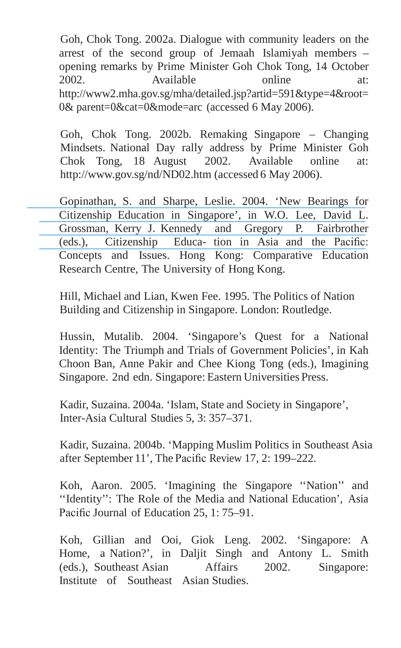Goh, Chok Tong. 2002a. Dialogue with community leaders on the arrest of the second group of Jemaah Islamiyah members – opening remarks by Prime Minister Goh Chok Tong, 14 October 2002. Available online at: [http://www2.mha.gov.sg/mha/detailed.jsp?artid=591&type=4&root=](http://www2.mha.gov.sg/mha/detailed.jsp?artid=591&type=4&root=0) [0& p](http://www2.mha.gov.sg/mha/detailed.jsp?artid=591&type=4&root=0)arent=0&cat=0&mode=arc (accessed 6 May 2006).

Goh, Chok Tong. 2002b. Remaking Singapore – Changing Mindsets. National Day rally address by Prime Minister Goh Chok Tong, 18 August 2002. Available online at: <http://www.gov.sg/nd/ND02.htm> (accessed 6 May 2006).

[Gopinathan,](https://www.researchgate.net/publication/291183766_New_Bearings_for_Citizenship_Education_in_Singapore?el=1_x_8&enrichId=rgreq-15e65a5fac08b1d0fd043ff35c410c54-XXX&enrichSource=Y292ZXJQYWdlOzIzMDAzOTg3ODtBUzozMjA5NzQxNDkzNTc1NzNAMTQ1MzUzNzYwODk5Ng%3D%3D) S. and Sharpe, Leslie. 2004. 'New Bearings for [Citizenship](https://www.researchgate.net/publication/291183766_New_Bearings_for_Citizenship_Education_in_Singapore?el=1_x_8&enrichId=rgreq-15e65a5fac08b1d0fd043ff35c410c54-XXX&enrichSource=Y292ZXJQYWdlOzIzMDAzOTg3ODtBUzozMjA5NzQxNDkzNTc1NzNAMTQ1MzUzNzYwODk5Ng%3D%3D) Education in [Singapore',](https://www.researchgate.net/publication/291183766_New_Bearings_for_Citizenship_Education_in_Singapore?el=1_x_8&enrichId=rgreq-15e65a5fac08b1d0fd043ff35c410c54-XXX&enrichSource=Y292ZXJQYWdlOzIzMDAzOTg3ODtBUzozMjA5NzQxNDkzNTc1NzNAMTQ1MzUzNzYwODk5Ng%3D%3D) in W.O. Lee, David L. [Grossman,](https://www.researchgate.net/publication/291183766_New_Bearings_for_Citizenship_Education_in_Singapore?el=1_x_8&enrichId=rgreq-15e65a5fac08b1d0fd043ff35c410c54-XXX&enrichSource=Y292ZXJQYWdlOzIzMDAzOTg3ODtBUzozMjA5NzQxNDkzNTc1NzNAMTQ1MzUzNzYwODk5Ng%3D%3D) Kerry J. [Kennedy and Gregory P. Fairbrother](https://www.researchgate.net/publication/291183766_New_Bearings_for_Citizenship_Education_in_Singapore?el=1_x_8&enrichId=rgreq-15e65a5fac08b1d0fd043ff35c410c54-XXX&enrichSource=Y292ZXJQYWdlOzIzMDAzOTg3ODtBUzozMjA5NzQxNDkzNTc1NzNAMTQ1MzUzNzYwODk5Ng%3D%3D)  [\(eds.\), Citizenship Educa-](https://www.researchgate.net/publication/291183766_New_Bearings_for_Citizenship_Education_in_Singapore?el=1_x_8&enrichId=rgreq-15e65a5fac08b1d0fd043ff35c410c54-XXX&enrichSource=Y292ZXJQYWdlOzIzMDAzOTg3ODtBUzozMjA5NzQxNDkzNTc1NzNAMTQ1MzUzNzYwODk5Ng%3D%3D) tion in [Asia and](https://www.researchgate.net/publication/291183766_New_Bearings_for_Citizenship_Education_in_Singapore?el=1_x_8&enrichId=rgreq-15e65a5fac08b1d0fd043ff35c410c54-XXX&enrichSource=Y292ZXJQYWdlOzIzMDAzOTg3ODtBUzozMjA5NzQxNDkzNTc1NzNAMTQ1MzUzNzYwODk5Ng%3D%3D) the Pacific: [Concepts](https://www.researchgate.net/publication/291183766_New_Bearings_for_Citizenship_Education_in_Singapore?el=1_x_8&enrichId=rgreq-15e65a5fac08b1d0fd043ff35c410c54-XXX&enrichSource=Y292ZXJQYWdlOzIzMDAzOTg3ODtBUzozMjA5NzQxNDkzNTc1NzNAMTQ1MzUzNzYwODk5Ng%3D%3D) and Issues. Hong Kong: [Comparative Education](https://www.researchgate.net/publication/291183766_New_Bearings_for_Citizenship_Education_in_Singapore?el=1_x_8&enrichId=rgreq-15e65a5fac08b1d0fd043ff35c410c54-XXX&enrichSource=Y292ZXJQYWdlOzIzMDAzOTg3ODtBUzozMjA5NzQxNDkzNTc1NzNAMTQ1MzUzNzYwODk5Ng%3D%3D) Research Centre, The [University](https://www.researchgate.net/publication/291183766_New_Bearings_for_Citizenship_Education_in_Singapore?el=1_x_8&enrichId=rgreq-15e65a5fac08b1d0fd043ff35c410c54-XXX&enrichSource=Y292ZXJQYWdlOzIzMDAzOTg3ODtBUzozMjA5NzQxNDkzNTc1NzNAMTQ1MzUzNzYwODk5Ng%3D%3D) of Hong [Kong.](https://www.researchgate.net/publication/291183766_New_Bearings_for_Citizenship_Education_in_Singapore?el=1_x_8&enrichId=rgreq-15e65a5fac08b1d0fd043ff35c410c54-XXX&enrichSource=Y292ZXJQYWdlOzIzMDAzOTg3ODtBUzozMjA5NzQxNDkzNTc1NzNAMTQ1MzUzNzYwODk5Ng%3D%3D)

Hill, [Michael](https://www.researchgate.net/publication/248653550_The_Politics_of_Nation_Building_and_Citizenship_in_Singapore?el=1_x_8&enrichId=rgreq-15e65a5fac08b1d0fd043ff35c410c54-XXX&enrichSource=Y292ZXJQYWdlOzIzMDAzOTg3ODtBUzozMjA5NzQxNDkzNTc1NzNAMTQ1MzUzNzYwODk5Ng%3D%3D) and Lian, Kwen Fee. 1995. The Politics of Nation [Building](https://www.researchgate.net/publication/248653550_The_Politics_of_Nation_Building_and_Citizenship_in_Singapore?el=1_x_8&enrichId=rgreq-15e65a5fac08b1d0fd043ff35c410c54-XXX&enrichSource=Y292ZXJQYWdlOzIzMDAzOTg3ODtBUzozMjA5NzQxNDkzNTc1NzNAMTQ1MzUzNzYwODk5Ng%3D%3D) and Citizenship in Singapore. London: [Routledge.](https://www.researchgate.net/publication/248653550_The_Politics_of_Nation_Building_and_Citizenship_in_Singapore?el=1_x_8&enrichId=rgreq-15e65a5fac08b1d0fd043ff35c410c54-XXX&enrichSource=Y292ZXJQYWdlOzIzMDAzOTg3ODtBUzozMjA5NzQxNDkzNTc1NzNAMTQ1MzUzNzYwODk5Ng%3D%3D)

Hussin, Mutalib. 2004. 'Singapore's Quest for a National Identity: The Triumph and Trials of Government Policies', in Kah Choon Ban, Anne Pakir and Chee Kiong Tong (eds.), Imagining Singapore. 2nd edn. Singapore: Eastern Universities Press.

Kadir, Suzaina. 2004a. 'Islam, State and Society in Singapore', Inter-Asia Cultural Studies 5, 3: 357–371.

Kadir, Suzaina. 2004b. ['Mapping](https://www.researchgate.net/publication/237639419_Mapping_Muslim_Politics_in_Southeast_Asia_after_September_11?el=1_x_8&enrichId=rgreq-15e65a5fac08b1d0fd043ff35c410c54-XXX&enrichSource=Y292ZXJQYWdlOzIzMDAzOTg3ODtBUzozMjA5NzQxNDkzNTc1NzNAMTQ1MzUzNzYwODk5Ng%3D%3D) Muslim Politics in Southeast Asia [after](https://www.researchgate.net/publication/237639419_Mapping_Muslim_Politics_in_Southeast_Asia_after_September_11?el=1_x_8&enrichId=rgreq-15e65a5fac08b1d0fd043ff35c410c54-XXX&enrichSource=Y292ZXJQYWdlOzIzMDAzOTg3ODtBUzozMjA5NzQxNDkzNTc1NzNAMTQ1MzUzNzYwODk5Ng%3D%3D) [September](https://www.researchgate.net/publication/237639419_Mapping_Muslim_Politics_in_Southeast_Asia_after_September_11?el=1_x_8&enrichId=rgreq-15e65a5fac08b1d0fd043ff35c410c54-XXX&enrichSource=Y292ZXJQYWdlOzIzMDAzOTg3ODtBUzozMjA5NzQxNDkzNTc1NzNAMTQ1MzUzNzYwODk5Ng%3D%3D) 11', The Pacific Review 17, 2: 199–222.

Koh, Aaron. 2005. 'Imagining the Singapore ''Nation'' and ''Identity'': The Role of the Media and National Education', Asia Pacific Journal of Education 25, 1: 75–91.

Koh, Gillian and Ooi, Giok Leng. 2002. 'Singapore: A Home, a Nation?', in Daljit Singh and Antony L. Smith (eds.), Southeast Asian Affairs 2002. Singapore: Institute of Southeast Asian Studies.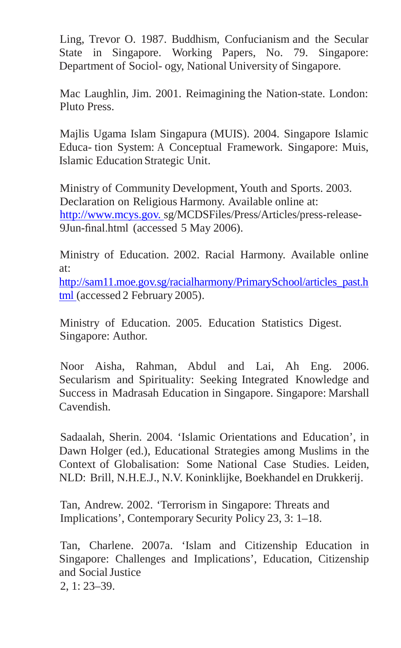Ling, Trevor O. 1987. Buddhism, Confucianism and the Secular State in Singapore. Working Papers, No. 79. Singapore: Department of Sociol- ogy, National University of Singapore.

Mac Laughlin, Jim. 2001. Reimagining the Nation-state. London: Pluto Press.

Majlis Ugama Islam Singapura (MUIS). 2004. Singapore Islamic Educa- tion System: A Conceptual Framework. Singapore: Muis, Islamic Education Strategic Unit.

Ministry of Community Development, Youth and Sports. 2003. Declaration on Religious Harmony. Available online at: http://www.mcys.gov. sg/MCDSFiles/Press/Articles/press-release-9Jun-final.html (accessed 5 May 2006).

Ministry of Education. 2002. Racial Harmony. Available online at:

[http://sam11.moe.gov.sg/racialharmony/PrimarySchool/articles\\_past.h](http://sam11.moe.gov.sg/racialharmony/PrimarySchool/articles_past.html) [tml \(](http://sam11.moe.gov.sg/racialharmony/PrimarySchool/articles_past.html)accessed 2 February 2005).

Ministry of Education. 2005. Education Statistics Digest. Singapore: Author.

Noor Aisha, Rahman, Abdul and Lai, Ah Eng. 2006. Secularism and Spirituality: Seeking Integrated Knowledge and Success in Madrasah Education in Singapore. Singapore: Marshall Cavendish.

Sadaalah, Sherin. 2004. 'Islamic Orientations and Education', in Dawn Holger (ed.), Educational Strategies among Muslims in the Context of Globalisation: Some National Case Studies. Leiden, NLD: Brill, N.H.E.J., N.V. Koninklijke, Boekhandel en Drukkerij.

Tan, Andrew. 2002. 'Terrorism in Singapore: Threats and Implications', Contemporary Security Policy 23, 3: 1–18.

Tan, Charlene. 2007a. 'Islam and Citizenship Education in Singapore: Challenges and Implications', Education, Citizenship and Social Justice 2, 1: 23–39.